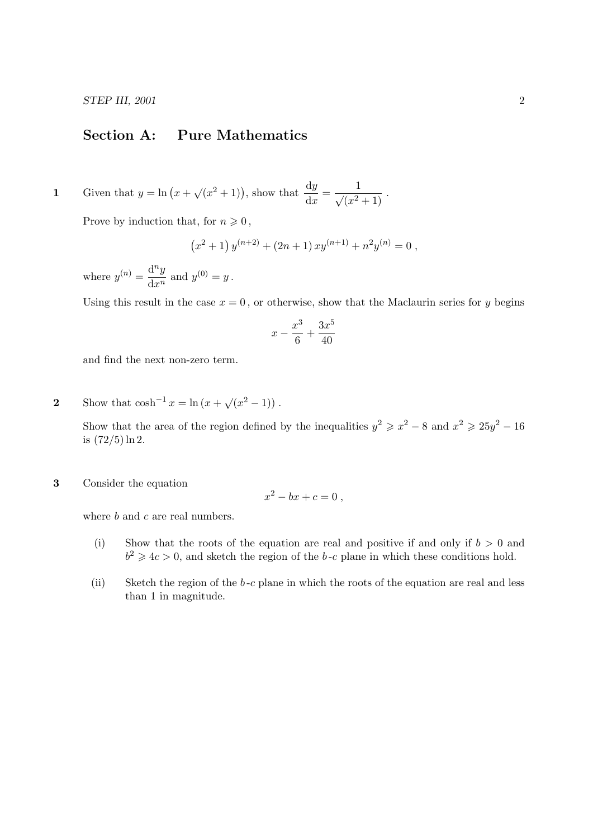## Section A: Pure Mathematics

1 Given that  $y = \ln (x + \sqrt{x^2 + 1})$ , show that  $\frac{dy}{dx} = \frac{1}{\sqrt{x^2 + 1}}$ .

Prove by induction that, for  $n \geq 0$ ,

$$
(x^{2}+1) y^{(n+2)} + (2n + 1) xy^{(n+1)} + n^{2} y^{(n)} = 0,
$$

where  $y^{(n)} = \frac{d^n y}{dx^n}$  $\frac{\mathrm{d}^2 y}{\mathrm{d} x^n}$  and  $y^{(0)} = y$ .

Using this result in the case  $x = 0$ , or otherwise, show that the Maclaurin series for y begins

$$
x - \frac{x^3}{6} + \frac{3x^5}{40}
$$

and find the next non-zero term.

2 Show that  $\cosh^{-1} x = \ln(x + \sqrt{x^2 - 1})$ .

Show that the area of the region defined by the inequalities  $y^2 \geq x^2 - 8$  and  $x^2 \geq 25y^2 - 16$ is  $(72/5) \ln 2$ .

3 Consider the equation

$$
x^2 - bx + c = 0,
$$

where b and c are real numbers.

- (i) Show that the roots of the equation are real and positive if and only if  $b > 0$  and  $b^2 \geq 4c > 0$ , and sketch the region of the b-c plane in which these conditions hold.
- (ii) Sketch the region of the  $b$ -c plane in which the roots of the equation are real and less than 1 in magnitude.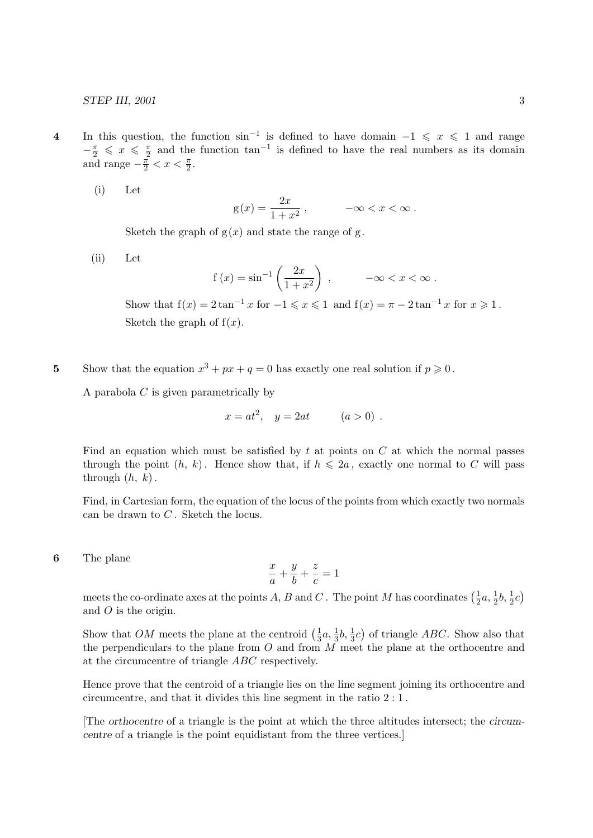- 4 In this question, the function  $\sin^{-1}$  is defined to have domain  $-1 \leq x \leq 1$  and range  $-\frac{\pi}{2} \leqslant x \leqslant \frac{\pi}{2}$  $\frac{\pi}{2}$  and the function  $\tan^{-1}$  is defined to have the real numbers as its domain and range  $-\frac{\pi}{2} < x < \frac{\pi}{2}$ .
	- (i) Let

$$
g(x) = \frac{2x}{1+x^2}, \qquad -\infty < x < \infty \, .
$$

Sketch the graph of  $g(x)$  and state the range of g.

(ii) Let

$$
f(x) = \sin^{-1}\left(\frac{2x}{1+x^2}\right)
$$
,  $-\infty < x < \infty$ .

Show that  $f(x) = 2 \tan^{-1} x$  for  $-1 \le x \le 1$  and  $f(x) = \pi - 2 \tan^{-1} x$  for  $x \ge 1$ . Sketch the graph of  $f(x)$ .

5 Show that the equation  $x^3 + px + q = 0$  has exactly one real solution if  $p \ge 0$ .

A parabola  $C$  is given parametrically by

$$
x = at^2
$$
,  $y = 2at$   $(a > 0)$ .

Find an equation which must be satisfied by  $t$  at points on  $C$  at which the normal passes through the point  $(h, k)$ . Hence show that, if  $h \leq 2a$ , exactly one normal to C will pass through  $(h, k)$ .

Find, in Cartesian form, the equation of the locus of the points from which exactly two normals can be drawn to  $C$ . Sketch the locus.

6 The plane

$$
\frac{x}{a} + \frac{y}{b} + \frac{z}{c} = 1
$$

meets the co-ordinate axes at the points A, B and C. The point M has coordinates  $\left(\frac{1}{2}\right)$  $\frac{1}{2}a, \frac{1}{2}b, \frac{1}{2}c$ and O is the origin.

Show that OM meets the plane at the centroid  $\left(\frac{1}{3}\right)$  $\frac{1}{3}a, \frac{1}{3}b, \frac{1}{3}c$  of triangle *ABC*. Show also that the perpendiculars to the plane from  $O$  and from  $M$  meet the plane at the orthocentre and at the circumcentre of triangle ABC respectively.

Hence prove that the centroid of a triangle lies on the line segment joining its orthocentre and circumcentre, and that it divides this line segment in the ratio 2 : 1 .

[The orthocentre of a triangle is the point at which the three altitudes intersect; the circumcentre of a triangle is the point equidistant from the three vertices.]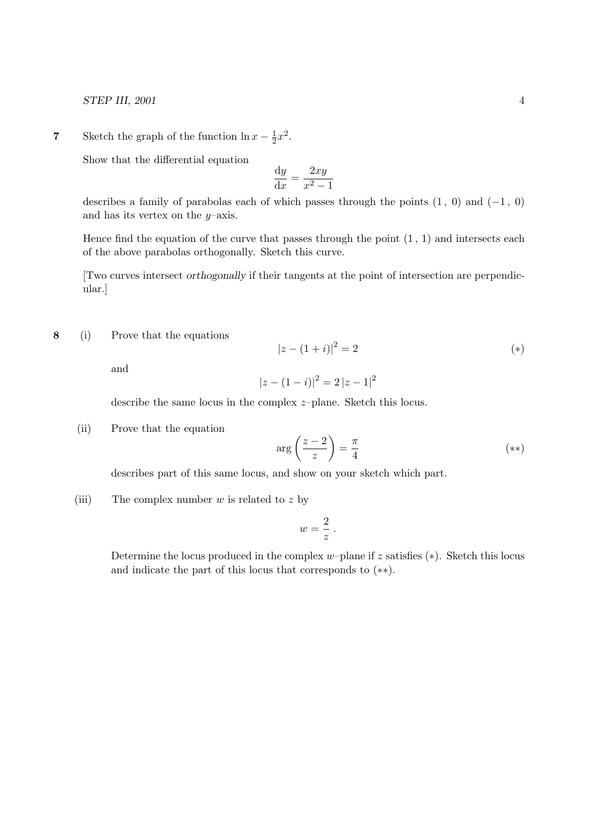STEP III, 2001 4

**7** Sketch the graph of the function  $\ln x - \frac{1}{2}$  $\frac{1}{2}x^2$ .

Show that the differential equation

$$
\frac{\mathrm{d}y}{\mathrm{d}x} = \frac{2xy}{x^2 - 1}
$$

describes a family of parabolas each of which passes through the points  $(1, 0)$  and  $(-1, 0)$ and has its vertex on the  $y$ –axis.

Hence find the equation of the curve that passes through the point  $(1, 1)$  and intersects each of the above parabolas orthogonally. Sketch this curve.

[Two curves intersect orthogonally if their tangents at the point of intersection are perpendicular.]

8 (i) Prove that the equations

$$
|z - (1 + i)|^2 = 2 \tag{*}
$$

and

$$
|z - (1 - i)|^2 = 2 |z - 1|^2
$$

describe the same locus in the complex z–plane. Sketch this locus.

(ii) Prove that the equation

$$
\arg\left(\frac{z-2}{z}\right) = \frac{\pi}{4} \tag{**}
$$

describes part of this same locus, and show on your sketch which part.

(iii) The complex number  $w$  is related to  $z$  by

$$
w=\frac{2}{z}.
$$

Determine the locus produced in the complex w–plane if  $z$  satisfies  $(*)$ . Sketch this locus and indicate the part of this locus that corresponds to (∗∗).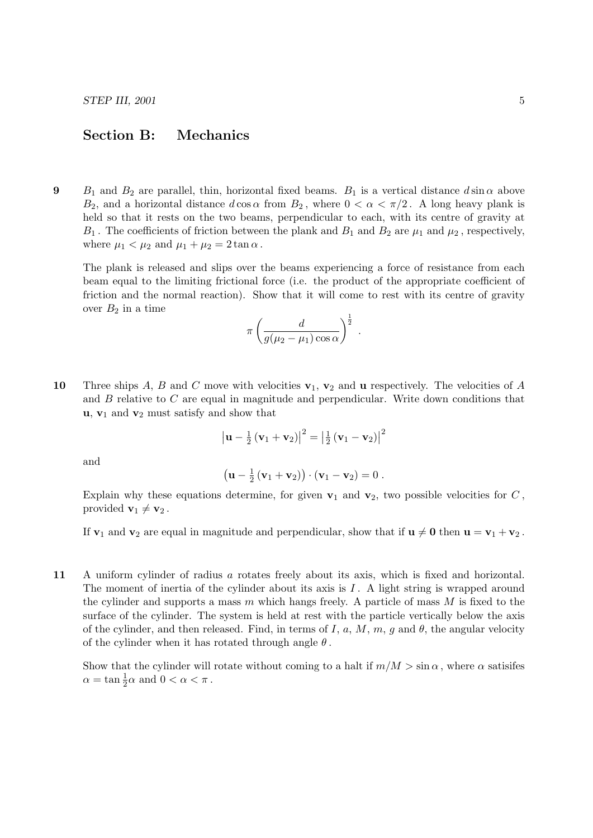## Section B: Mechanics

9 B<sub>1</sub> and B<sub>2</sub> are parallel, thin, horizontal fixed beams. B<sub>1</sub> is a vertical distance  $d \sin \alpha$  above  $B_2$ , and a horizontal distance  $d \cos \alpha$  from  $B_2$ , where  $0 < \alpha < \pi/2$ . A long heavy plank is held so that it rests on the two beams, perpendicular to each, with its centre of gravity at  $B_1$ . The coefficients of friction between the plank and  $B_1$  and  $B_2$  are  $\mu_1$  and  $\mu_2$ , respectively, where  $\mu_1 < \mu_2$  and  $\mu_1 + \mu_2 = 2 \tan \alpha$ .

The plank is released and slips over the beams experiencing a force of resistance from each beam equal to the limiting frictional force (i.e. the product of the appropriate coefficient of friction and the normal reaction). Show that it will come to rest with its centre of gravity over  $B_2$  in a time

$$
\pi \left(\frac{d}{g(\mu_2-\mu_1)\cos\alpha}\right)^{\frac{1}{2}}.
$$

10 Three ships A, B and C move with velocities  $v_1, v_2$  and u respectively. The velocities of A and  $B$  relative to  $C$  are equal in magnitude and perpendicular. Write down conditions that  $\mathbf{u}, \mathbf{v}_1$  and  $\mathbf{v}_2$  must satisfy and show that

$$
\left|\mathbf{u}-\frac{1}{2}\left(\mathbf{v}_1+\mathbf{v}_2\right)\right|^2=\left|\frac{1}{2}\left(\mathbf{v}_1-\mathbf{v}_2\right)\right|^2
$$

and

$$
\left(\mathbf{u}-\frac{1}{2}\left(\mathbf{v}_1+\mathbf{v}_2\right)\right)\cdot\left(\mathbf{v}_1-\mathbf{v}_2\right)=0\ .
$$

Explain why these equations determine, for given  $v_1$  and  $v_2$ , two possible velocities for C, provided  $\mathbf{v}_1 \neq \mathbf{v}_2$ .

If  $v_1$  and  $v_2$  are equal in magnitude and perpendicular, show that if  $u \neq 0$  then  $u = v_1 + v_2$ .

11 A uniform cylinder of radius a rotates freely about its axis, which is fixed and horizontal. The moment of inertia of the cylinder about its axis is  $I$ . A light string is wrapped around the cylinder and supports a mass  $m$  which hangs freely. A particle of mass  $M$  is fixed to the surface of the cylinder. The system is held at rest with the particle vertically below the axis of the cylinder, and then released. Find, in terms of I, a, M, m, g and  $\theta$ , the angular velocity of the cylinder when it has rotated through angle  $\theta$ .

Show that the cylinder will rotate without coming to a halt if  $m/M > \sin \alpha$ , where  $\alpha$  satisifes  $\alpha = \tan \frac{1}{2}\alpha$  and  $0 < \alpha < \pi$ .